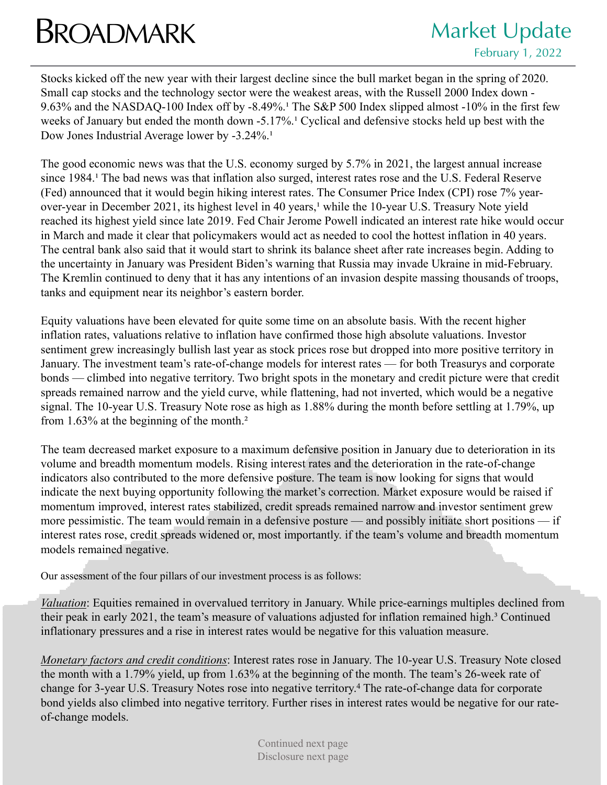## **BROADMARK** Market Update

Stocks kicked off the new year with their largest decline since the bull market began in the spring of 2020. Small cap stocks and the technology sector were the weakest areas, with the Russell 2000 Index down - 9.63% and the NASDAQ-100 Index off by  $-8.49\%$ .<sup>1</sup> The S&P 500 Index slipped almost  $-10\%$  in the first few weeks of January but ended the month down -5.17%.<sup>1</sup> Cyclical and defensive stocks held up best with the Dow Jones Industrial Average lower by -3.24%.<sup>1</sup>

The good economic news was that the U.S. economy surged by 5.7% in 2021, the largest annual increase since 1984.<sup>1</sup> The bad news was that inflation also surged, interest rates rose and the U.S. Federal Reserve (Fed) announced that it would begin hiking interest rates. The Consumer Price Index (CPI) rose 7% yearover-year in December 2021, its highest level in 40 years,<sup>1</sup> while the 10-year U.S. Treasury Note yield reached its highest yield since late 2019. Fed Chair Jerome Powell indicated an interest rate hike would occur in March and made it clear that policymakers would act as needed to cool the hottest inflation in 40 years. The central bank also said that it would start to shrink its balance sheet after rate increases begin. Adding to the uncertainty in January was President Biden's warning that Russia may invade Ukraine in mid-February. The Kremlin continued to deny that it has any intentions of an invasion despite massing thousands of troops, tanks and equipment near its neighbor's eastern border.

Equity valuations have been elevated for quite some time on an absolute basis. With the recent higher inflation rates, valuations relative to inflation have confirmed those high absolute valuations. Investor sentiment grew increasingly bullish last year as stock prices rose but dropped into more positive territory in January. The investment team's rate-of-change models for interest rates — for both Treasurys and corporate bonds — climbed into negative territory. Two bright spots in the monetary and credit picture were that credit spreads remained narrow and the yield curve, while flattening, had not inverted, which would be a negative signal. The 10-year U.S. Treasury Note rose as high as 1.88% during the month before settling at 1.79%, up from 1.63% at the beginning of the month.<sup>2</sup>

The team decreased market exposure to a maximum defensive position in January due to deterioration in its volume and breadth momentum models. Rising interest rates and the deterioration in the rate-of-change indicators also contributed to the more defensive posture. The team is now looking for signs that would indicate the next buying opportunity following the market's correction. Market exposure would be raised if momentum improved, interest rates stabilized, credit spreads remained narrow and investor sentiment grew more pessimistic. The team would remain in a defensive posture — and possibly initiate short positions — if interest rates rose, credit spreads widened or, most importantly. if the team's volume and breadth momentum models remained negative.

Our assessment of the four pillars of our investment process is as follows:

*Valuation*: Equities remained in overvalued territory in January. While price-earnings multiples declined from their peak in early 2021, the team's measure of valuations adjusted for inflation remained high.<sup>3</sup> Continued inflationary pressures and a rise in interest rates would be negative for this valuation measure.

*Monetary factors and credit conditions*: Interest rates rose in January. The 10-year U.S. Treasury Note closed the month with a 1.79% yield, up from 1.63% at the beginning of the month. The team's 26-week rate of change for 3-year U.S. Treasury Notes rose into negative territory.4 The rate-of-change data for corporate bond yields also climbed into negative territory. Further rises in interest rates would be negative for our rateof-change models.